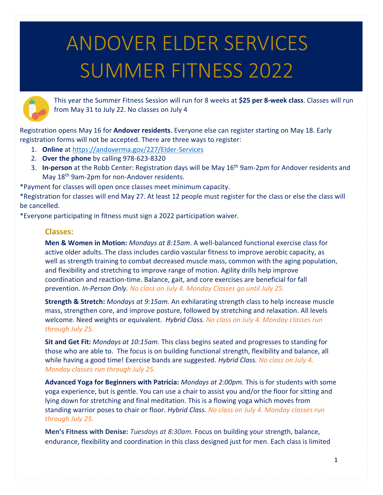## ANDOVER ELDER SERVICES SUMMER FITNESS 2022



This year the Summer Fitness Session will run for 8 weeks at **\$25 per 8-week class**. Classes will run from May 31 to July 22. No classes on July 4

Registration opens May 16 for **Andover residents**. Everyone else can register starting on May 18. Early registration forms will not be accepted. There are three ways to register:

- 1. **Online** at<https://andoverma.gov/227/Elder-Services>
- 2. **Over the phone** by calling 978-623-8320
- 3. In-person at the Robb Center: Registration days will be May 16<sup>th</sup> 9am-2pm for Andover residents and May 18<sup>th</sup> 9am-2pm for non-Andover residents.

\*Payment for classes will open once classes meet minimum capacity.

\*Registration for classes will end May 27. At least 12 people must register for the class or else the class will be cancelled.

\*Everyone participating in fitness must sign a 2022 participation waiver.

## **Classes:**

**Men & Women in Motion:** *Mondays at 8:15am*. A well-balanced functional exercise class for active older adults. The class includes cardio vascular fitness to improve aerobic capacity, as well as strength training to combat decreased muscle mass, common with the aging population, and flexibility and stretching to improve range of motion. Agility drills help improve coordination and reaction-time. Balance, gait, and core exercises are beneficial for fall prevention. *In-Person Only. No class on July 4. Monday Classes go until July 25.*

**Strength & Stretch:** *Mondays at 9:15am.* An exhilarating strength class to help increase muscle mass, strengthen core, and improve posture, followed by stretching and relaxation. All levels welcome. Need weights or equivalent. *Hybrid Class. No class on July 4. Monday classes run through July 25.*

**Sit and Get Fit:** *Mondays at 10:15am.* This class begins seated and progresses to standing for those who are able to. The focus is on building functional strength, flexibility and balance, all while having a good time! Exercise bands are suggested. *Hybrid Class. No class on July 4. Monday classes run through July 25.*

**Advanced Yoga for Beginners with Patricia:** *Mondays at 2:00pm.* This is for students with some yoga experience, but is gentle. You can use a chair to assist you and/or the floor for sitting and lying down for stretching and final meditation. This is a flowing yoga which moves from standing warrior poses to chair or floor. *Hybrid Class. No class on July 4. Monday classes run through July 25.*

**Men's Fitness with Denise:** *Tuesdays at 8:30am.* Focus on building your strength, balance, endurance, flexibility and coordination in this class designed just for men. Each class is limited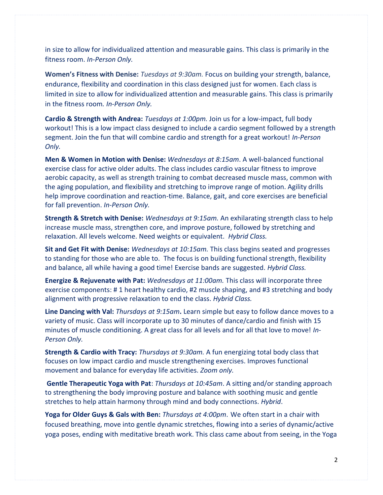in size to allow for individualized attention and measurable gains. This class is primarily in the fitness room. *In-Person Only.*

**Women's Fitness with Denise:** *Tuesdays at 9:30am.* Focus on building your strength, balance, endurance, flexibility and coordination in this class designed just for women. Each class is limited in size to allow for individualized attention and measurable gains. This class is primarily in the fitness room*. In-Person Only.*

**Cardio & Strength with Andrea:** *Tuesdays at 1:00pm.* Join us for a low-impact, full body workout! This is a low impact class designed to include a cardio segment followed by a strength segment. Join the fun that will combine cardio and strength for a great workout! *In-Person Only.*

**Men & Women in Motion with Denise:** *Wednesdays at 8:15am*. A well-balanced functional exercise class for active older adults. The class includes cardio vascular fitness to improve aerobic capacity, as well as strength training to combat decreased muscle mass, common with the aging population, and flexibility and stretching to improve range of motion. Agility drills help improve coordination and reaction-time. Balance, gait, and core exercises are beneficial for fall prevention. *In-Person Only.*

**Strength & Stretch with Denise:** *Wednesdays at 9:15am.* An exhilarating strength class to help increase muscle mass, strengthen core, and improve posture, followed by stretching and relaxation. All levels welcome. Need weights or equivalent. *Hybrid Class.*

**Sit and Get Fit with Denise:** *Wednesdays at 10:15am.* This class begins seated and progresses to standing for those who are able to. The focus is on building functional strength, flexibility and balance, all while having a good time! Exercise bands are suggested. *Hybrid Class.*

**Energize & Rejuvenate with Pat:** *Wednesdays at 11:00am.* This class will incorporate three exercise components: # 1 heart healthy cardio, #2 muscle shaping, and #3 stretching and body alignment with progressive relaxation to end the class. *Hybrid Class.*

**Line Dancing with Val:** *Thursdays at 9:15am***.** Learn simple but easy to follow dance moves to a variety of music. Class will incorporate up to 30 minutes of dance/cardio and finish with 15 minutes of muscle conditioning. A great class for all levels and for all that love to move! *In-Person Only.*

**Strength & Cardio with Tracy:** *Thursdays at 9:30am.* A fun energizing total body class that focuses on low impact cardio and muscle strengthening exercises. Improves functional movement and balance for everyday life activities. *Zoom only.*

**Gentle Therapeutic Yoga with Pat**: *Thursdays at 10:45am*. A sitting and/or standing approach to strengthening the body improving posture and balance with soothing music and gentle stretches to help attain harmony through mind and body connections. *Hybrid*.

**Yoga for Older Guys & Gals with Ben:** *Thursdays at 4:00pm*. We often start in a chair with focused breathing, move into gentle dynamic stretches, flowing into a series of dynamic/active yoga poses, ending with meditative breath work. This class came about from seeing, in the Yoga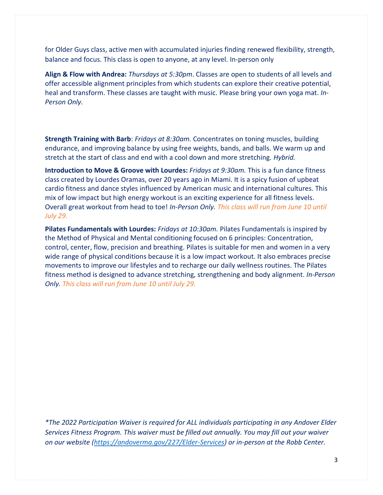for Older Guys class, active men with accumulated injuries finding renewed flexibility, strength, balance and focus. This class is open to anyone, at any level. In-person only

**Align & Flow with Andrea:** *Thursdays at 5:30pm*. Classes are open to students of all levels and offer accessible alignment principles from which students can explore their creative potential, heal and transform. These classes are taught with music. Please bring your own yoga mat. *In-Person Only.*

**Strength Training with Barb**: *Fridays at 8:30am.* Concentrates on toning muscles, building endurance, and improving balance by using free weights, bands, and balls. We warm up and stretch at the start of class and end with a cool down and more stretching. *Hybrid.*

**Introduction to Move & Groove with Lourdes:** *Fridays at 9:30am.* This is a fun dance fitness class created by Lourdes Oramas, over 20 years ago in Miami. It is a spicy fusion of upbeat cardio fitness and dance styles influenced by American music and international cultures. This mix of low impact but high energy workout is an exciting experience for all fitness levels. Overall great workout from head to toe! *In-Person Only. This class will run from June 10 until July 29.*

**Pilates Fundamentals with Lourdes:** *Fridays at 10:30am.* Pilates Fundamentals is inspired by the Method of Physical and Mental conditioning focused on 6 principles: Concentration, control, center, flow, precision and breathing. Pilates is suitable for men and women in a very wide range of physical conditions because it is a low impact workout. It also embraces precise movements to improve our lifestyles and to recharge our daily wellness routines. The Pilates fitness method is designed to advance stretching, strengthening and body alignment. *In-Person Only. This class will run from June 10 until July 29.*

*\*The 2022 Participation Waiver is required for ALL individuals participating in any Andover Elder Services Fitness Program. This waiver must be filled out annually. You may fill out your waiver on our website [\(https://andoverma.gov/227/Elder-Services\)](https://andoverma.gov/227/Elder-Services) or in-person at the Robb Center.*